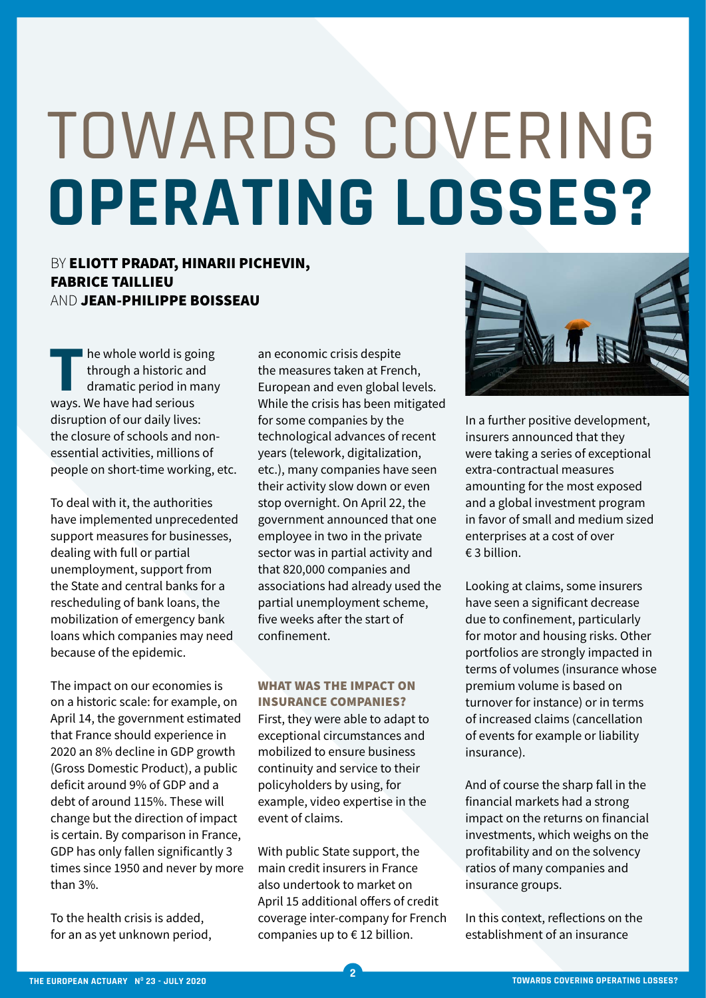# TOWARDS COVERING **OPERATING LOSSES?**

# BY ELIOTT PRADAT, HINARII PICHEVIN, FABRICE TAILLIEU AND JEAN-PHILIPPE BOISSEAU

**The whole world is going<br>through a historic and<br>dramatic period in many<br>ways We have had serious** through a historic and dramatic period in many ways. We have had serious disruption of our daily lives: the closure of schools and nonessential activities, millions of people on short-time working, etc.

To deal with it, the authorities have implemented unprecedented support measures for businesses, dealing with full or partial unemployment, support from the State and central banks for a rescheduling of bank loans, the mobilization of emergency bank loans which companies may need because of the epidemic.

The impact on our economies is on a historic scale: for example, on April 14, the government estimated that France should experience in 2020 an 8% decline in GDP growth (Gross Domestic Product), a public deficit around 9% of GDP and a debt of around 115%. These will change but the direction of impact is certain. By comparison in France, GDP has only fallen significantly 3 times since 1950 and never by more than 3%.

To the health crisis is added, for an as yet unknown period, an economic crisis despite the measures taken at French, European and even global levels. While the crisis has been mitigated for some companies by the technological advances of recent years (telework, digitalization, etc.), many companies have seen their activity slow down or even stop overnight. On April 22, the government announced that one employee in two in the private sector was in partial activity and that 820,000 companies and associations had already used the partial unemployment scheme, five weeks after the start of confinement.

### WHAT WAS THE IMPACT ON INSURANCE COMPANIES?

First, they were able to adapt to exceptional circumstances and mobilized to ensure business continuity and service to their policyholders by using, for example, video expertise in the event of claims.

With public State support, the main credit insurers in France also undertook to market on April 15 additional offers of credit coverage inter-company for French companies up to € 12 billion.

**2**



In a further positive development, insurers announced that they were taking a series of exceptional extra-contractual measures amounting for the most exposed and a global investment program in favor of small and medium sized enterprises at a cost of over € 3 billion.

Looking at claims, some insurers have seen a significant decrease due to confinement, particularly for motor and housing risks. Other portfolios are strongly impacted in terms of volumes (insurance whose premium volume is based on turnover for instance) or in terms of increased claims (cancellation of events for example or liability insurance).

And of course the sharp fall in the financial markets had a strong impact on the returns on financial investments, which weighs on the profitability and on the solvency ratios of many companies and insurance groups.

In this context, reflections on the establishment of an insurance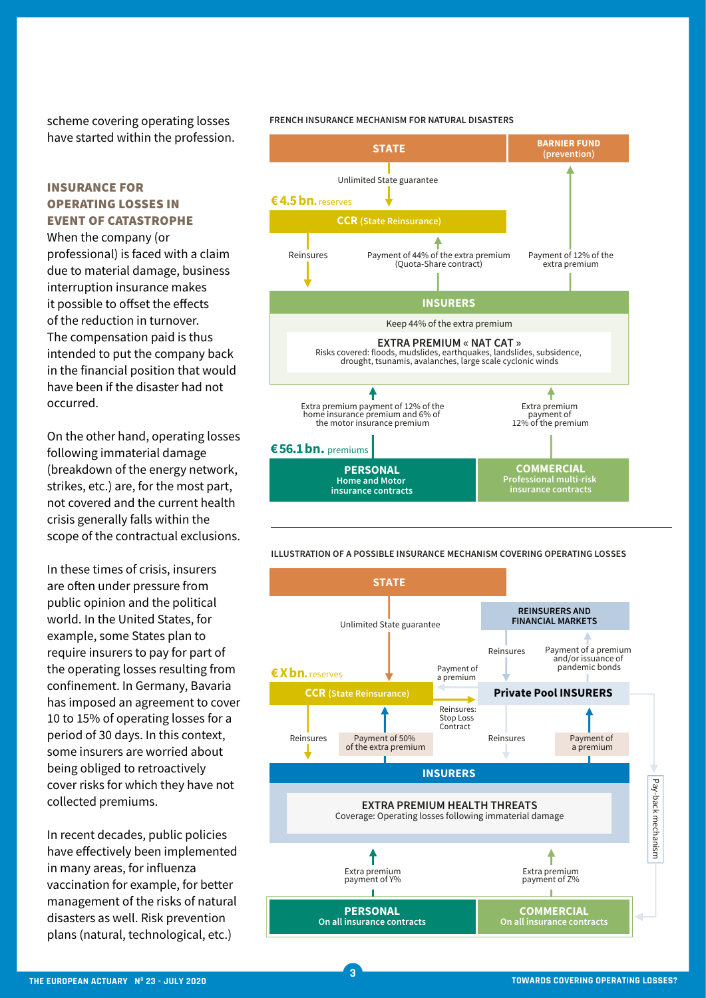scheme covering operating losses have started within the profession.

### INSURANCE FOR OPERATING LOSSES IN EVENT OF CATASTROPHE

When the company (or professional) is faced with a claim due to material damage, business interruption insurance makes it possible to offset the effects of the reduction in turnover. The compensation paid is thus intended to put the company back in the financial position that would have been if the disaster had not occurred.

On the other hand, operating losses following immaterial damage (breakdown of the energy network, strikes, etc.) are, for the most part, not covered and the current health crisis generally falls within the scope of the contractual exclusions.

In these times of crisis, insurers are often under pressure from **(prevention)** public opinion and the political world. In the United States, for example, some States plan to require insurers to pay for part of the operating losses resulting from confinement. In Germany, Bavaria **Extra probe in a series an agreement to cover** 10 to 15% of operating losses for a **INSURGE PROPERTIES IN EXERCITE PROPERTY.** Properlies period of 30 days. In this context,  $\overline{R}$  some insurers are worried about being obliged to retroactively **EXTRA PREMIUM « NAT CATE STAN PREMIUM SOME SOME STAN SPACE »** drought, the collected premiums.  $\mathbb{R}$  comment of  $\mathbb{R}$ 

**CCR (State Reinsurance)**

Extra premium payment of 12% of the home insurance premium and 6% of

Unlimited State guarantee

In recent decades, public policies have effectively been implemented in many areas, for influenza vaccination for example, for better management of the risks of natural disasters as well. Risk prevention plans (natural, technological, etc.) **insurance contracts**

**FRENCH INSURANCE MECHANISM FOR NATURAL DISASTERS** 







**3**

**€ X bn.**reserves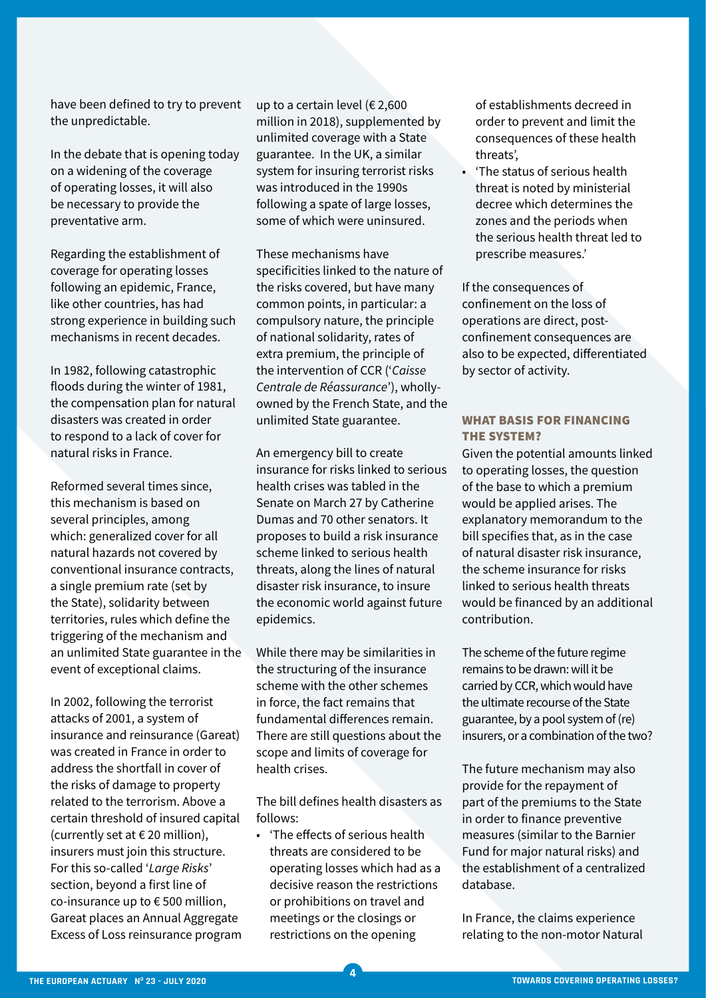have been defined to try to prevent the unpredictable.

In the debate that is opening today on a widening of the coverage of operating losses, it will also be necessary to provide the preventative arm.

Regarding the establishment of coverage for operating losses following an epidemic, France, like other countries, has had strong experience in building such mechanisms in recent decades.

In 1982, following catastrophic floods during the winter of 1981, the compensation plan for natural disasters was created in order to respond to a lack of cover for natural risks in France.

Reformed several times since, this mechanism is based on several principles, among which: generalized cover for all natural hazards not covered by conventional insurance contracts, a single premium rate (set by the State), solidarity between territories, rules which define the triggering of the mechanism and an unlimited State guarantee in the event of exceptional claims.

In 2002, following the terrorist attacks of 2001, a system of insurance and reinsurance (Gareat) was created in France in order to address the shortfall in cover of the risks of damage to property related to the terrorism. Above a certain threshold of insured capital (currently set at  $\epsilon$  20 million), insurers must join this structure. For this so-called '*Large Risks*' section, beyond a first line of co-insurance up to € 500 million, Gareat places an Annual Aggregate Excess of Loss reinsurance program

up to a certain level ( $\epsilon$  2,600 million in 2018), supplemented by unlimited coverage with a State guarantee. In the UK, a similar system for insuring terrorist risks was introduced in the 1990s following a spate of large losses, some of which were uninsured.

These mechanisms have specificities linked to the nature of the risks covered, but have many common points, in particular: a compulsory nature, the principle of national solidarity, rates of extra premium, the principle of the intervention of CCR ('*Caisse Centrale de Réassurance*'), whollyowned by the French State, and the unlimited State guarantee.

An emergency bill to create insurance for risks linked to serious health crises was tabled in the Senate on March 27 by Catherine Dumas and 70 other senators. It proposes to build a risk insurance scheme linked to serious health threats, along the lines of natural disaster risk insurance, to insure the economic world against future epidemics.

While there may be similarities in the structuring of the insurance scheme with the other schemes in force, the fact remains that fundamental differences remain. There are still questions about the scope and limits of coverage for health crises.

The bill defines health disasters as follows:

• 'The effects of serious health threats are considered to be operating losses which had as a decisive reason the restrictions or prohibitions on travel and meetings or the closings or restrictions on the opening

**4**

of establishments decreed in order to prevent and limit the consequences of these health threats',

• 'The status of serious health threat is noted by ministerial decree which determines the zones and the periods when the serious health threat led to prescribe measures.'

If the consequences of confinement on the loss of operations are direct, postconfinement consequences are also to be expected, differentiated by sector of activity.

### WHAT BASIS FOR FINANCING THE SYSTEM?

Given the potential amounts linked to operating losses, the question of the base to which a premium would be applied arises. The explanatory memorandum to the bill specifies that, as in the case of natural disaster risk insurance, the scheme insurance for risks linked to serious health threats would be financed by an additional contribution.

The scheme of the future regime remains to be drawn: will it be carried by CCR, which would have the ultimate recourse of the State guarantee, by a pool system of (re) insurers, or a combination of the two?

The future mechanism may also provide for the repayment of part of the premiums to the State in order to finance preventive measures (similar to the Barnier Fund for major natural risks) and the establishment of a centralized database.

In France, the claims experience relating to the non-motor Natural